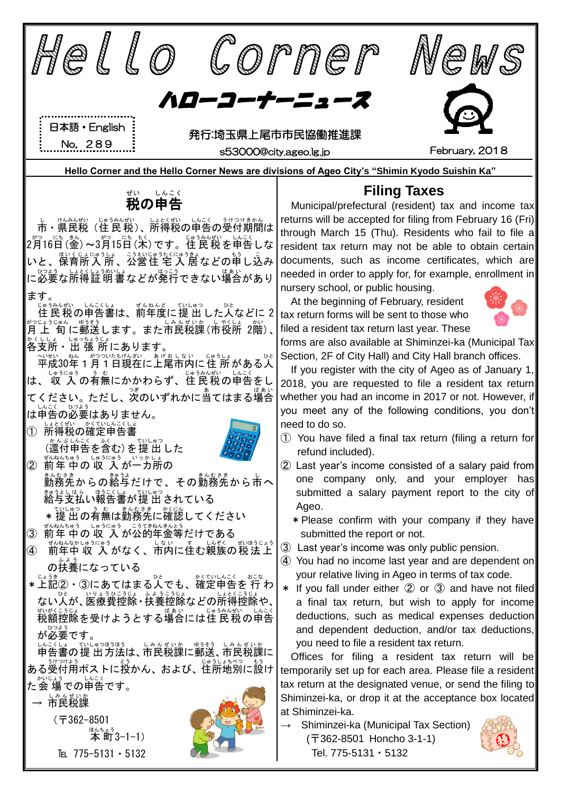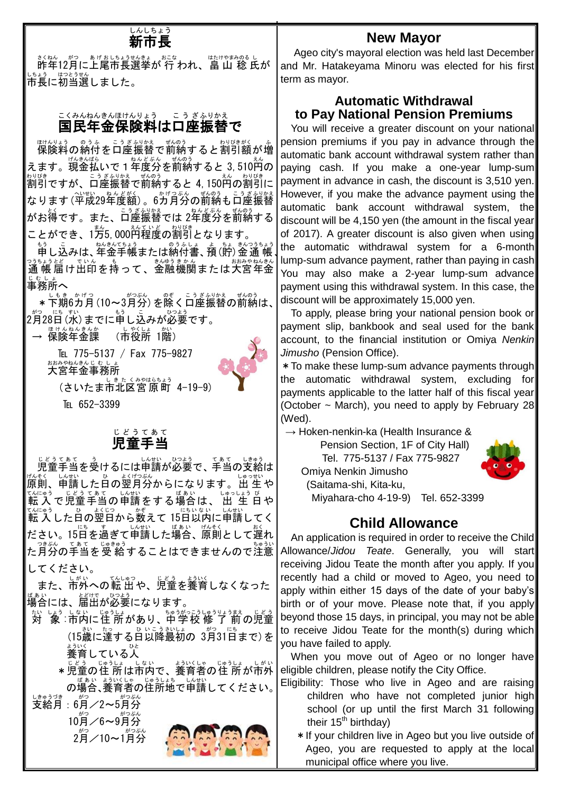# **しんしちょう**<br>**新市長**

ま、ねん がっ ぁげぉいもょうせんまぁ。 あこな はけやまみのる し<br>昨年12月に上尾市長選挙が 行 われ、畠 山 稔 氏が 市長 しちょう に初当選 はつとうせん しました。

#### 国民年金保険料は口座振替で こくみん ねんきん ほけんりょう こうざ ふりかえ

脚裂綺の紛付を口座振替で前納すると割引額が増 えます。現金払いで1年度分を前納すると 3,510<sup>科</sup>の 割引 わりびき ですが、口座 こうざ 振替 ふりかえ で前納 ぜんのう すると 4,150円 えん の割引 わりびき に なります (平成29年度額) 。6ガ月分の前納も口座振替 がお得です。また、<sup>こぅざふり</sup>な。<br>バお得です。また、口座振替では 2年度分を前納する ことができ、1方5,000<sup>私でいど</sup>の割引となります。

申 もう し込 こ みは、年金 ねんきん 手帳 てちょう または納付書 のうふしょ 、預 よ (貯 ちょ )金 きん 通 帳 つうちょう 通 帳 つうちょう 届 とど け出印 でいん を持 も って、金融 きんゆう 機関 きかん または大宮 おおみや 年金 ねんきん ute<br>事務所へ

\* 下期6カ月 (10~3月分) を除く口座振替の前納は、 2月 がつ 28日 にち (水 すい )までに申 もう し込 こ みが必要 ひつよう です。

→ 保険年金課 (市役所 1階)

> TEL 775-5137 / Fax 775-9827 大宮 年金 事務所 おおみや ねんきん じむしょ



TEL 652-3399

#### 児童 手当 じ ど う てあて

。<sub>じょうてあて、う</sub><br>児童手当を受けるには申請が必要で、手当の支給は <sub>げんそく、しんむいっさ。<br>原則、申請した日の翌月分からになります。出 生 や</sub> てんにゅう 〔 どうてぁて )んぱ、<br>転入で児童手当の申請をする場合は、出 生 日や てんにゅう<br>転 入 した日の翌日から数えて 15日以内に申請してく ださい。15日を過ぎて申請した場合、原則として遅れ ──?ま。、てぁて ヒッセッショ<br>た月分の手当を受 給することはできませんので注意 してください。

また、市外への転 出 や、児童を養育しなくなった <sub>ばぁぃ</sub><br>場合には、届出が必要になります。

- ホハ しょぅ しゃい しゅうしょ きゅうりょうまえ しどう<br>対 象 :市内に住 所があり、中学校 修 了 前の児童 (15歳に達する日以降最初の 3月31日まで)を 。。。。<br>養育している人
	- \*児童の住 所は市内で、養育者の住 所が市外 の場合 ばあい 、養育者 よういくしゃ の住所地 じゅうしょち で申請 しんせい してください。

」<sub>はゅうづき</sub><br>支給月:6月/2~5月分

。。。。<br>10月/6~9月分 。。。<br>2月/10~1月分



## **New Mayor**

Ageo city's mayoral election was held last December and Mr. Hatakeyama Minoru was elected for his first term as mayor.

### **Automatic Withdrawal to Pay National Pension Premiums**

、 the automatic withdrawal system for a 6-month You will receive a greater discount on your national pension premiums if you pay in advance through the automatic bank account withdrawal system rather than paying cash. If you make a one-year lump-sum payment in advance in cash, the discount is 3,510 yen. However, if you make the advance payment using the automatic bank account withdrawal system, the discount will be 4,150 yen (the amount in the fiscal year of 2017). A greater discount is also given when using lump-sum advance payment, rather than paying in cash You may also make a 2-year lump-sum advance payment using this withdrawal system. In this case, the discount will be approximately 15,000 yen.

To apply, please bring your national pension book or payment slip, bankbook and seal used for the bank account, to the financial institution or Omiya *Nenkin Jimusho* (Pension Office).

\*To make these lump-sum advance payments through the automatic withdrawal system, excluding for payments applicable to the latter half of this fiscal year (October ~ March), you need to apply by February 28 (Wed).

 $\rightarrow$  Hoken-nenkin-ka (Health Insurance &

Pension Section, 1F of City Hall) Tel. 775-5137 / Fax 775-9827



Omiya Nenkin Jimusho

(Saitama-shi, Kita-ku, Miyahara-cho 4-19-9) Tel. 652-3399

## **Child Allowance**

An application is required in order to receive the Child Allowance/*Jidou Teate*. Generally, you will start receiving Jidou Teate the month after you apply. If you recently had a child or moved to Ageo, you need to apply within either 15 days of the date of your baby's birth or of your move. Please note that, if you apply beyond those 15 days, in principal, you may not be able to receive Jidou Teate for the month(s) during which you have failed to apply.

When you move out of Ageo or no longer have eligible children, please notify the City Office.

- Eligibility: Those who live in Ageo and are raising children who have not completed junior high school (or up until the first March 31 following their  $15<sup>th</sup>$  birthday)
	- \* If your children live in Ageo but you live outside of Ageo, you are requested to apply at the local municipal office where you live.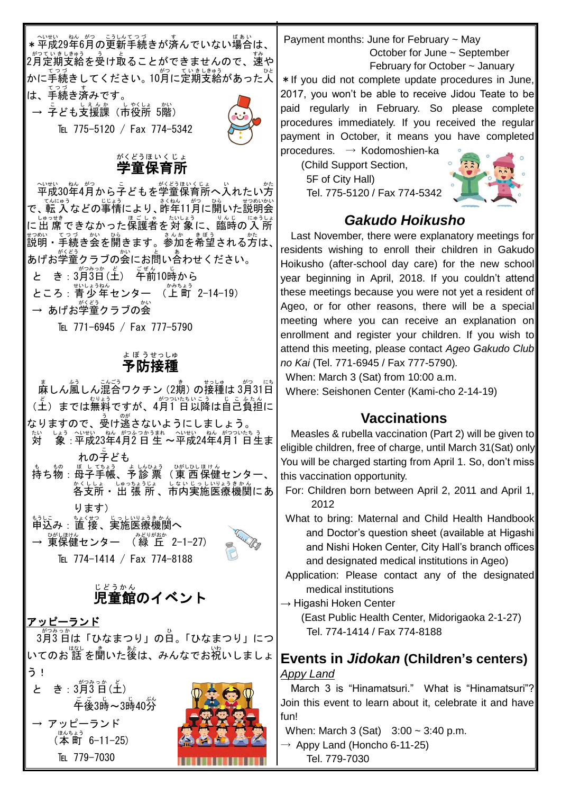\* 平成29年6月の更新手続きが済んでいない場合は、 2月 がつ 定期 ていき 支給 しきゅう を受 う け取 と ることができませんので、速 すみ や かに手続きしてください。10月に定期支給があった人 は、手続 てつづ き済 す みです。

→ 孒ども支援課(市役所 5階)

TEL 775-5120 / Fax 774-5342



#### 学童 保育所 がくどう ほ い く じ ょ

平成 へいせい 30年 ねん 4月 がつ から子 こ どもを学童 がくどう 保育所 ほいくじょ へ入 い れたい方 かた て、「私」など」。<br>で、転 入 などの事情により、昨年11月に開いた説明会 に出 席 しゅっせき できなかった保護者 ほごしゃ を対 象 たいしょう に、臨時 りんじ の入 所 にゅうしょ #3%い こづ が、 ひ。<br>説明・手続き会を開きます。参加を希望される方は、 あげお学童クラブの会にお問い合わせください。 と き : 3月3日(土) 千前10時から ところ : 青少年センター (上町 2-14-19) → あげお学童クラブの会

TEL 771-6945 / Fax 777-5790

### 予防 接種 よぼう せっしゅ

 麻 ま しん風 ふう しん混合 こんごう ワクチン(2期 き )の接種 せっしゅ は 3月 がつ 31日 にち (土)までは無料ですが、4月1 日以降は自己負担に **なりますので、**多け逃さないようにしましょう。 対 たい しょぅ 〜いせい ねん がつふっかぅまれ 〜いせい ねん がつついたぅぅ<br>「象 : 平成23年4月2 日 生 〜平成24年4月1 日生ま れの子 ども こ も ポ ぼしびょう ☆んぷう ○がしひほけん<br>持ち物:母子手帳、予診 票 (東 西 保健センター、 しんひょう ひがしひし ほけん ☆くししょ しゅっちょうじょ しないじっしいりょうきかん<br>**各支所・ 出 張 所 、市内実施医療機関にあ** ります) もうしこ ちょくせつ じっしいりょうきかん<br>申込み:直 接、実施医療機関 へ → 薄保健センター (緑 丘 2-1-27) TEL 774-1414 / Fax 774-8188

## 。。。。。<br>児童館のイベント

アッピーランド

3月 がつ 3 日 みっか は「ひなまつり」の日 ひ 。「ひなまつり」につ いてのお 話 を聞いた後は、みんなでお祝いしましょ う!

と き: 3月3日(土) 。。。。<br>午後3時~3時40分 アッピーランド  $(\overline{\mathbf{A}}^{\text{max}})$  6-11-25) TEL 779-7030



Payment months: June for February ~ May October for June ~ September February for October ~ January

\*If you did not complete update procedures in June, 2017, you won't be able to receive Jidou Teate to be paid regularly in February. So please complete procedures immediately. If you received the regular payment in October, it means you have completed procedures. → Kodomoshien-ka

(Child Support Section, 5F of City Hall) Tel. 775-5120 / Fax 774-5342



## *Gakudo Hoikusho*

Last November, there were explanatory meetings for residents wishing to enroll their children in Gakudo Hoikusho (after-school day care) for the new school year beginning in April, 2018. If you couldn't attend these meetings because you were not yet a resident of Ageo, or for other reasons, there will be a special meeting where you can receive an explanation on enrollment and register your children. If you wish to attend this meeting, please contact *Ageo Gakudo Club no Kai* (Tel. 771-6945 / Fax 777-5790)*.*

When: March 3 (Sat) from 10:00 a.m.

Where: Seishonen Center (Kami-cho 2-14-19)

## **Vaccinations**

Measles & rubella vaccination (Part 2) will be given to eligible children, free of charge, until March 31(Sat) only. You will be charged starting from April 1. So, don't miss this vaccination opportunity.

- For: Children born between April 2, 2011 and April 1, 2012
- What to bring: Maternal and Child Health Handbook and Doctor's question sheet (available at Higashi and Nishi Hoken Center, City Hall's branch offices and designated medical institutions in Ageo)
- Application: Please contact any of the designated medical institutions
- $\rightarrow$  Higashi Hoken Center

(East Public Health Center, Midorigaoka 2-1-27) Tel. 774-1414 / Fax 774-8188

## **Events in** *Jidokan* **(Children's centers)** *Appy Land*

March 3 is "Hinamatsuri." What is "Hinamatsuri"? Join this event to learn about it, celebrate it and have fun!

When: March 3 (Sat) 3:00 ~ 3:40 p.m.

 $\rightarrow$  Appy Land (Honcho 6-11-25) Tel. 779-7030